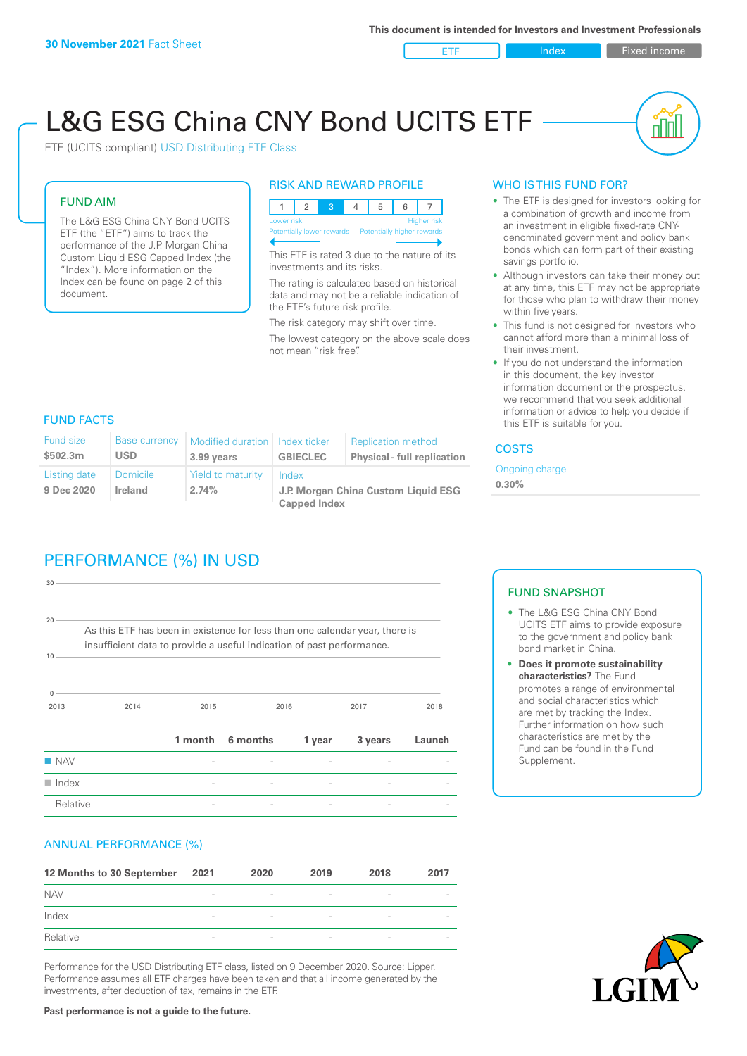ETF Index Fixed income

# L&G ESG China CNY Bond UCITS ETF

ETF (UCITS compliant) USD Distributing ETF Class

#### FUND AIM

The L&G ESG China CNY Bond UCITS ETF (the "ETF") aims to track the performance of the J.P. Morgan China Custom Liquid ESG Capped Index (the "Index"). More information on the Index can be found on page 2 of this document.

#### RISK AND REWARD PROFILE



This ETF is rated 3 due to the nature of its investments and its risks.

The rating is calculated based on historical data and may not be a reliable indication of the ETF's future risk profile.

The risk category may shift over time. The lowest category on the above scale does not mean "risk free".

#### WHO IS THIS FUND FOR?

- The ETF is designed for investors looking for a combination of growth and income from an investment in eligible fixed-rate CNYdenominated government and policy bank bonds which can form part of their existing savings portfolio.
- Although investors can take their money out at any time, this ETF may not be appropriate for those who plan to withdraw their money within five years.
- This fund is not designed for investors who cannot afford more than a minimal loss of their investment.
- If you do not understand the information in this document, the key investor information document or the prospectus, we recommend that you seek additional information or advice to help you decide if this ETF is suitable for you.

#### FUND FACTS

| <b>Fund size</b><br>\$502.3m | Base currency<br>USD       | Modified duration   Index ticker<br>3.99 years | <b>GBIECLEC</b>                              | <b>Replication method</b><br><b>Physical - full replication</b> | <b>COSTS</b>               |
|------------------------------|----------------------------|------------------------------------------------|----------------------------------------------|-----------------------------------------------------------------|----------------------------|
| Listing date<br>9 Dec 2020   | <b>Domicile</b><br>Ireland | Yield to maturity<br>2.74%                     | Index<br>J.P. Morgan China Custom Liquid ESG |                                                                 | Ongoing charge<br>$0.30\%$ |
|                              |                            |                                                | <b>Capped Index</b>                          |                                                                 |                            |

# PERFORMANCE (%) IN USD

2013 2014 2015 2016 2017 2018 **0 10 20 30** As this ETF has been in existence for less than one calendar year, there is insufficient data to provide a useful indication of past performance. **1 month 6 months 1 year 3 years Launch** n NAV - - - - -  $\blacksquare$  Index  $\blacksquare$ Relative **Relation Community Community**  $\frac{1}{2}$  **Fig. 2** -  $\frac{1}{2}$  -  $\frac{1}{2}$  -  $\frac{1}{2}$  -  $\frac{1}{2}$  -  $\frac{1}{2}$  -  $\frac{1}{2}$  -  $\frac{1}{2}$  -  $\frac{1}{2}$  -  $\frac{1}{2}$  -  $\frac{1}{2}$  -  $\frac{1}{2}$  -  $\frac{1}{2}$  -  $\frac{1}{2}$  -  $\frac{1$ 

#### ANNUAL PERFORMANCE (%)

| 12 Months to 30 September 2021 |                          | 2020                     | 2019                     | 2018                     | 2017                     |
|--------------------------------|--------------------------|--------------------------|--------------------------|--------------------------|--------------------------|
| <b>NAV</b>                     | $\qquad \qquad$          | $\overline{\phantom{a}}$ | $\overline{\phantom{a}}$ | $\overline{\phantom{a}}$ |                          |
| Index                          | $\overline{\phantom{a}}$ | $\overline{\phantom{0}}$ | $\qquad \qquad$          | $\overline{\phantom{a}}$ |                          |
| Relative                       | $\overline{\phantom{a}}$ | $\overline{\phantom{a}}$ | $\sim$                   | $\sim$                   | $\overline{\phantom{a}}$ |

Performance for the USD Distributing ETF class, listed on 9 December 2020. Source: Lipper. Performance assumes all ETF charges have been taken and that all income generated by the investments, after deduction of tax, remains in the ETF.

#### FUND SNAPSHOT

- The L&G ESG China CNY Bond UCITS ETF aims to provide exposure to the government and policy bank bond market in China.
- **• Does it promote sustainability characteristics?** The Fund promotes a range of environmental and social characteristics which are met by tracking the Index. Further information on how such characteristics are met by the Fund can be found in the Fund Supplement.



**Past performance is not a guide to the future.**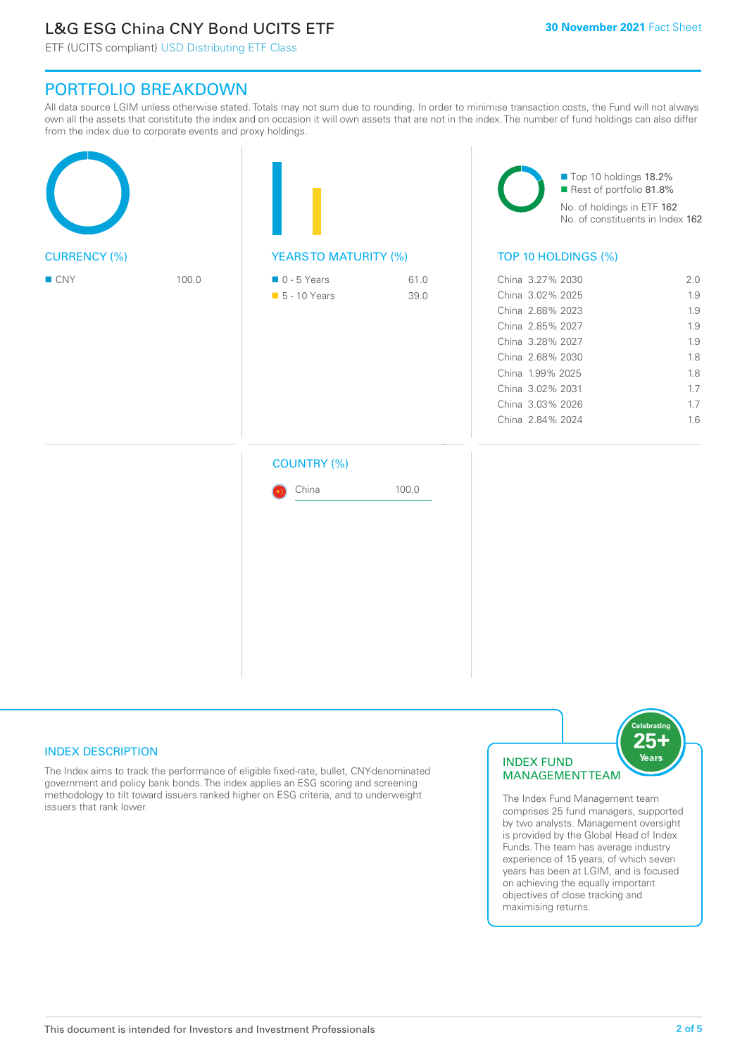# L&G ESG China CNY Bond UCITS ETF

ETF (UCITS compliant) USD Distributing ETF Class

## PORTFOLIO BREAKDOWN

All data source LGIM unless otherwise stated. Totals may not sum due to rounding. In order to minimise transaction costs, the Fund will not always own all the assets that constitute the index and on occasion it will own assets that are not in the index. The number of fund holdings can also differ from the index due to corporate events and proxy holdings.

| <b>CURRENCY (%)</b> |       |                                              |              | Top 10 holdings 18.2%<br>Rest of portfolio 81.8%<br>No. of holdings in ETF 162<br>No. of constituents in Index 162                                                                                   |                                                                    |  |
|---------------------|-------|----------------------------------------------|--------------|------------------------------------------------------------------------------------------------------------------------------------------------------------------------------------------------------|--------------------------------------------------------------------|--|
|                     |       | <b>YEARSTO MATURITY (%)</b>                  |              | TOP 10 HOLDINGS (%)                                                                                                                                                                                  |                                                                    |  |
| $\blacksquare$ CNY  | 100.0 | $\blacksquare$ 0 - 5 Years<br>■ 5 - 10 Years | 61.0<br>39.0 | China 3.27% 2030<br>China 3.02% 2025<br>China 2.88% 2023<br>China 2.85% 2027<br>China 3.28% 2027<br>China 2.68% 2030<br>China 1.99% 2025<br>China 3.02% 2031<br>China 3.03% 2026<br>China 2.84% 2024 | 2.0<br>1.9<br>1.9<br>1.9<br>1.9<br>1.8<br>1.8<br>1.7<br>1.7<br>1.6 |  |
|                     |       | <b>COUNTRY (%)</b><br>China                  | 100.0        |                                                                                                                                                                                                      |                                                                    |  |

#### INDEX DESCRIPTION

The Index aims to track the performance of eligible fixed-rate, bullet, CNY-denominated government and policy bank bonds. The index applies an ESG scoring and screening methodology to tilt toward issuers ranked higher on ESG criteria, and to underweight issuers that rank lower.

#### INDEX FUND MANAGEMENT TEAM



The Index Fund Management team comprises 25 fund managers, supported by two analysts. Management oversight is provided by the Global Head of Index Funds. The team has average industry experience of 15 years, of which seven years has been at LGIM, and is focused on achieving the equally important objectives of close tracking and maximising returns.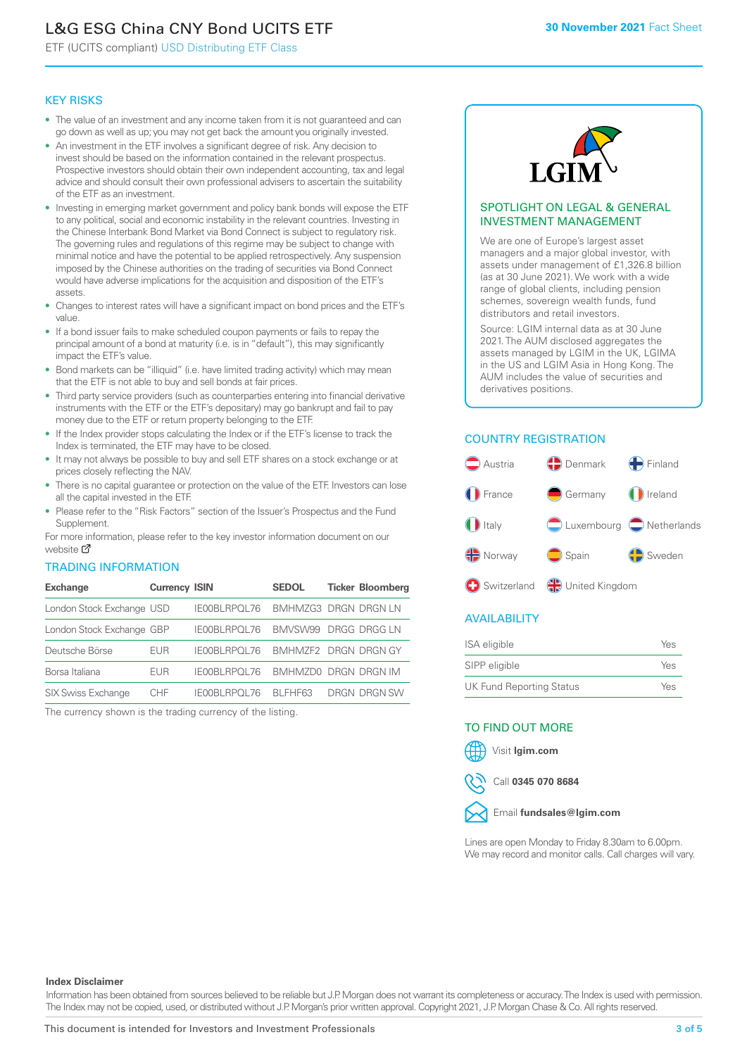# L&G ESG China CNY Bond UCITS ETF

ETF (UCITS compliant) USD Distributing ETF Class

#### KEY RISKS

- The value of an investment and any income taken from it is not guaranteed and can go down as well as up; you may not get back the amount you originally invested.
- An investment in the ETF involves a significant degree of risk. Any decision to invest should be based on the information contained in the relevant prospectus. Prospective investors should obtain their own independent accounting, tax and legal advice and should consult their own professional advisers to ascertain the suitability of the ETF as an investment.
- Investing in emerging market government and policy bank bonds will expose the ETF to any political, social and economic instability in the relevant countries. Investing in the Chinese Interbank Bond Market via Bond Connect is subject to regulatory risk. The governing rules and regulations of this regime may be subject to change with minimal notice and have the potential to be applied retrospectively. Any suspension imposed by the Chinese authorities on the trading of securities via Bond Connect would have adverse implications for the acquisition and disposition of the ETF's assets.
- Changes to interest rates will have a significant impact on bond prices and the ETF's value.
- If a bond issuer fails to make scheduled coupon payments or fails to repay the principal amount of a bond at maturity (i.e. is in "default"), this may significantly impact the ETF's value.
- Bond markets can be "illiquid" (i.e. have limited trading activity) which may mean that the ETF is not able to buy and sell bonds at fair prices.
- Third party service providers (such as counterparties entering into financial derivative instruments with the ETF or the ETF's depositary) may go bankrupt and fail to pay money due to the ETF or return property belonging to the ETF.
- If the Index provider stops calculating the Index or if the ETF's license to track the Index is terminated, the ETF may have to be closed.
- It may not always be possible to buy and sell ETF shares on a stock exchange or at prices closely reflecting the NAV.
- There is no capital guarantee or protection on the value of the ETF. Investors can lose all the capital invested in the ETF.
- Please refer to the "Risk Factors" section of the Issuer's Prospectus and the Fund Supplement.

For mo[re inf](https://www.lgimetf.com/)ormation, please refer to the key investor information document on our website M

#### TRADING INFORMATION

| <b>Exchange</b>           | <b>Currency ISIN</b> |              | <b>SEDOL</b> | <b>Ticker Bloomberg</b>           |
|---------------------------|----------------------|--------------|--------------|-----------------------------------|
| London Stock Exchange USD |                      | IE00BLRPOL76 |              | BMHMZG3 DRGN DRGN LN              |
| London Stock Exchange GBP |                      | IE00BLRPOL76 |              | BMVSW99 DRGG DRGG LN              |
| Deutsche Börse            | EUR                  |              |              | IE00BLRPOL76 BMHMZF2 DRGN DRGN GY |
| Borsa Italiana            | EUR                  | IE00BLRPOL76 |              | BMHMZD0 DRGN DRGN IM              |
| <b>SIX Swiss Exchange</b> | CHF.                 | IE00BLRPOL76 | BI FHF63     | DRGN DRGN SW                      |

The currency shown is the trading currency of the listing.



#### SPOTLIGHT ON LEGAL & GENERAL INVESTMENT MANAGEMENT

We are one of Europe's largest asset managers and a major global investor, with assets under management of £1,326.8 billion (as at 30 June 2021). We work with a wide range of global clients, including pension schemes, sovereign wealth funds, fund distributors and retail investors.

Source: LGIM internal data as at 30 June 2021. The AUM disclosed aggregates the assets managed by LGIM in the UK, LGIMA in the US and LGIM Asia in Hong Kong. The AUM includes the value of securities and derivatives positions.

### COUNTRY REGISTRATION



#### AVAILABILITY

| <b>ISA</b> eligible      | Yes |
|--------------------------|-----|
| SIPP eligible            | Yes |
| UK Fund Reporting Status | Yes |

#### TO FIND OUT MORE





Call **0345 070 8684**



Lines are open Monday to Friday 8.30am to 6.00pm. We may record and monitor calls. Call charges will vary.

#### **Index Disclaimer**

Information has been obtained from sources believed to be reliable but J.P. Morgan does not warrant its completeness or accuracy. The Index is used with permission. The Index may not be copied, used, or distributed without J.P. Morgan's prior written approval. Copyright 2021, J.P. Morgan Chase & Co. All rights reserved.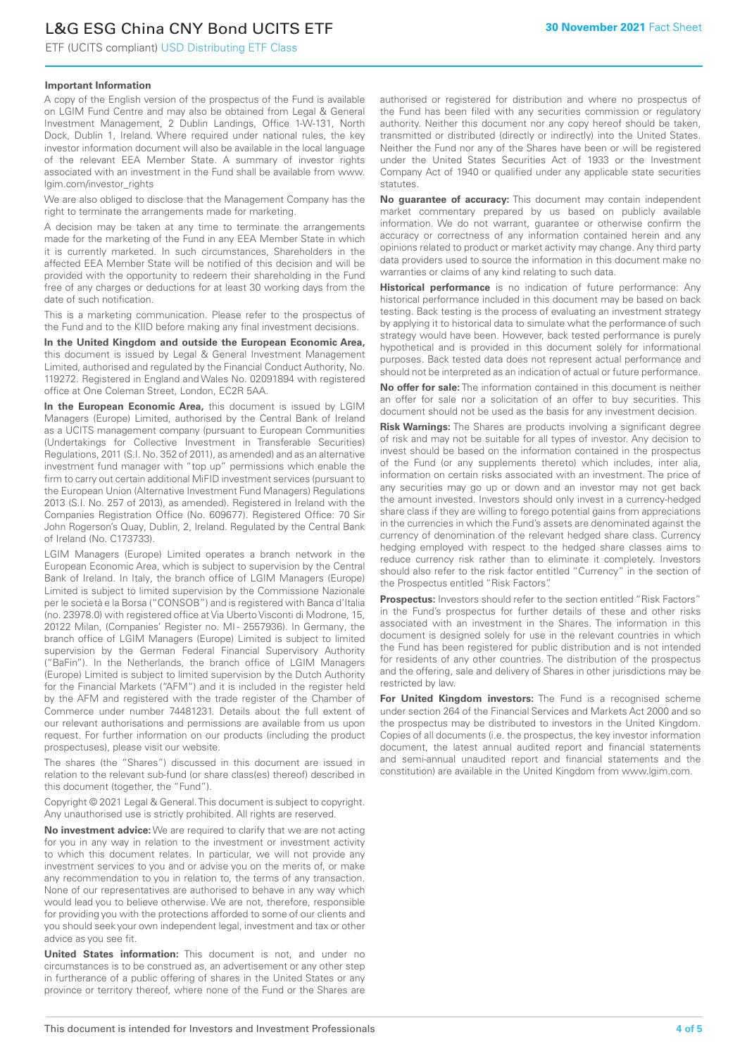# L&G ESG China CNY Bond UCITS ETF

ETF (UCITS compliant) USD Distributing ETF Class

#### **Important Information**

A copy of the English version of the prospectus of the Fund is available on LGIM Fund Centre and may also be obtained from Legal & General Investment Management, 2 Dublin Landings, Office 1-W-131, North Dock, Dublin 1, Ireland. Where required under national rules, the key investor information document will also be available in the local language of the relevant EEA Member State. A summary of investor rights associated with an investment in the Fund shall be available from www. lgim.com/investor\_rights

We are also obliged to disclose that the Management Company has the right to terminate the arrangements made for marketing.

A decision may be taken at any time to terminate the arrangements made for the marketing of the Fund in any EEA Member State in which it is currently marketed. In such circumstances, Shareholders in the affected EEA Member State will be notified of this decision and will be provided with the opportunity to redeem their shareholding in the Fund free of any charges or deductions for at least 30 working days from the date of such notification.

This is a marketing communication. Please refer to the prospectus of the Fund and to the KIID before making any final investment decisions.

**In the United Kingdom and outside the European Economic Area,** this document is issued by Legal & General Investment Management Limited, authorised and regulated by the Financial Conduct Authority, No. 119272. Registered in England and Wales No. 02091894 with registered office at One Coleman Street, London, EC2R 5AA.

**In the European Economic Area,** this document is issued by LGIM Managers (Europe) Limited, authorised by the Central Bank of Ireland as a UCITS management company (pursuant to European Communities (Undertakings for Collective Investment in Transferable Securities) Regulations, 2011 (S.I. No. 352 of 2011), as amended) and as an alternative investment fund manager with "top up" permissions which enable the firm to carry out certain additional MiFID investment services (pursuant to the European Union (Alternative Investment Fund Managers) Regulations 2013 (S.I. No. 257 of 2013), as amended). Registered in Ireland with the Companies Registration Office (No. 609677). Registered Office: 70 Sir John Rogerson's Quay, Dublin, 2, Ireland. Regulated by the Central Bank of Ireland (No. C173733).

LGIM Managers (Europe) Limited operates a branch network in the European Economic Area, which is subject to supervision by the Central Bank of Ireland. In Italy, the branch office of LGIM Managers (Europe) Limited is subject to limited supervision by the Commissione Nazionale per le società e la Borsa ("CONSOB") and is registered with Banca d'Italia (no. 23978.0) with registered office at Via Uberto Visconti di Modrone, 15, 20122 Milan, (Companies' Register no. MI - 2557936). In Germany, the branch office of LGIM Managers (Europe) Limited is subject to limited supervision by the German Federal Financial Supervisory Authority ("BaFin"). In the Netherlands, the branch office of LGIM Managers (Europe) Limited is subject to limited supervision by the Dutch Authority for the Financial Markets ("AFM") and it is included in the register held by the AFM and registered with the trade register of the Chamber of Commerce under number 74481231. Details about the full extent of our relevant authorisations and permissions are available from us upon request. For further information on our products (including the product prospectuses), please visit our website.

The shares (the "Shares") discussed in this document are issued in relation to the relevant sub-fund (or share class(es) thereof) described in this document (together, the "Fund").

Copyright © 2021 Legal & General. This document is subject to copyright. Any unauthorised use is strictly prohibited. All rights are reserved.

**No investment advice:** We are required to clarify that we are not acting for you in any way in relation to the investment or investment activity to which this document relates. In particular, we will not provide any investment services to you and or advise you on the merits of, or make any recommendation to you in relation to, the terms of any transaction. None of our representatives are authorised to behave in any way which would lead you to believe otherwise. We are not, therefore, responsible for providing you with the protections afforded to some of our clients and you should seek your own independent legal, investment and tax or other advice as you see fit.

**United States information:** This document is not, and under no circumstances is to be construed as, an advertisement or any other step in furtherance of a public offering of shares in the United States or any province or territory thereof, where none of the Fund or the Shares are authorised or registered for distribution and where no prospectus of the Fund has been filed with any securities commission or regulatory authority. Neither this document nor any copy hereof should be taken, transmitted or distributed (directly or indirectly) into the United States. Neither the Fund nor any of the Shares have been or will be registered under the United States Securities Act of 1933 or the Investment Company Act of 1940 or qualified under any applicable state securities statutes.

**No guarantee of accuracy:** This document may contain independent market commentary prepared by us based on publicly available information. We do not warrant, guarantee or otherwise confirm the accuracy or correctness of any information contained herein and any opinions related to product or market activity may change. Any third party data providers used to source the information in this document make no warranties or claims of any kind relating to such data.

**Historical performance** is no indication of future performance: Any historical performance included in this document may be based on back testing. Back testing is the process of evaluating an investment strategy by applying it to historical data to simulate what the performance of such strategy would have been. However, back tested performance is purely hypothetical and is provided in this document solely for informational purposes. Back tested data does not represent actual performance and should not be interpreted as an indication of actual or future performance.

**No offer for sale:** The information contained in this document is neither an offer for sale nor a solicitation of an offer to buy securities. This document should not be used as the basis for any investment decision.

**Risk Warnings:** The Shares are products involving a significant degree of risk and may not be suitable for all types of investor. Any decision to invest should be based on the information contained in the prospectus of the Fund (or any supplements thereto) which includes, inter alia, information on certain risks associated with an investment. The price of any securities may go up or down and an investor may not get back the amount invested. Investors should only invest in a currency-hedged share class if they are willing to forego potential gains from appreciations in the currencies in which the Fund's assets are denominated against the currency of denomination of the relevant hedged share class. Currency hedging employed with respect to the hedged share classes aims to reduce currency risk rather than to eliminate it completely. Investors should also refer to the risk factor entitled "Currency" in the section of the Prospectus entitled "Risk Factors".

**Prospectus:** Investors should refer to the section entitled "Risk Factors" in the Fund's prospectus for further details of these and other risks associated with an investment in the Shares. The information in this document is designed solely for use in the relevant countries in which the Fund has been registered for public distribution and is not intended for residents of any other countries. The distribution of the prospectus and the offering, sale and delivery of Shares in other jurisdictions may be restricted by law.

**For United Kingdom investors:** The Fund is a recognised scheme under section 264 of the Financial Services and Markets Act 2000 and so the prospectus may be distributed to investors in the United Kingdom. Copies of all documents (i.e. the prospectus, the key investor information document, the latest annual audited report and financial statements and semi-annual unaudited report and financial statements and the constitution) are available in the United Kingdom from www.lgim.com.